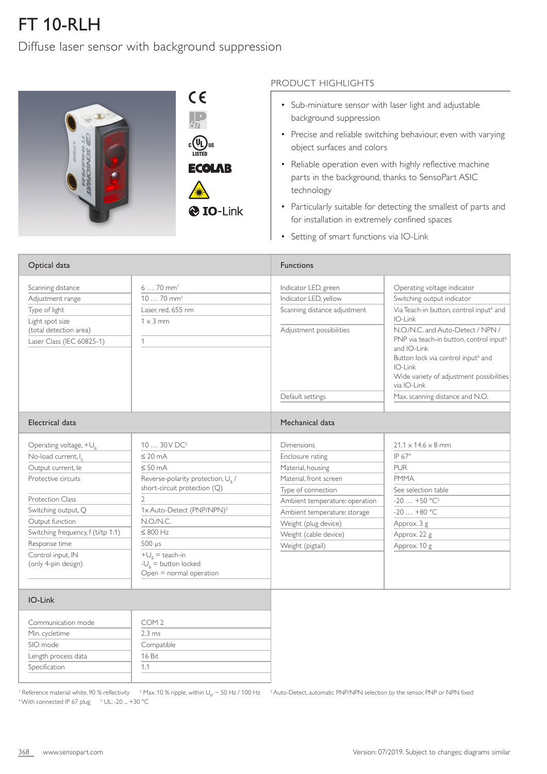## FT 10-RLH

Diffuse laser sensor with background suppression



## PRODUCT HIGHLIGHTS

- Sub-miniature sensor with laser light and adjustable background suppression
- Precise and reliable switching behaviour, even with varying object surfaces and colors
- Reliable operation even with highly reflective machine parts in the background, thanks to SensoPart ASIC technology
- Particularly suitable for detecting the smallest of parts and for installation in extremely confined spaces
- Setting of smart functions via IO-Link

| Optical data                                                           |                                                                               | <b>Functions</b>                             |                                                                                                                                                                                                                                 |  |
|------------------------------------------------------------------------|-------------------------------------------------------------------------------|----------------------------------------------|---------------------------------------------------------------------------------------------------------------------------------------------------------------------------------------------------------------------------------|--|
| Scanning distance                                                      | $670$ mm <sup>1</sup>                                                         | Indicator LED, green                         | Operating voltage indicator                                                                                                                                                                                                     |  |
| Adjustment range                                                       | $1070$ mm <sup>1</sup>                                                        | Indicator LED, yellow                        | Switching output indicator                                                                                                                                                                                                      |  |
| Type of light                                                          | Laser, red, 655 nm                                                            | Scanning distance adjustment                 | Via Teach-in button, control input <sup>6</sup> and<br>$IO-I ink$                                                                                                                                                               |  |
| Light spot size<br>(total detection area)<br>Laser Class (IEC 60825-1) | $1 \times 3$ mm<br>$\mathbf{1}$                                               | Adjustment possibilities                     | N.O./N.C. and Auto-Detect / NPN /<br>PNP via teach-in button, control input <sup>6</sup><br>and IO-Link<br>Button lock via control input <sup>6</sup> and<br>IO-Link<br>Wide variety of adjustment possibilities<br>via IO-Link |  |
|                                                                        |                                                                               | Default settings                             | Max. scanning distance and N.O.                                                                                                                                                                                                 |  |
| Electrical data                                                        |                                                                               | Mechanical data                              |                                                                                                                                                                                                                                 |  |
| Operating voltage, $+U_{R}$                                            | 10  30V DC <sup>2</sup>                                                       | <b>Dimensions</b>                            | $21.1 \times 14.6 \times 8$ mm                                                                                                                                                                                                  |  |
| No-load current, I <sub>0</sub>                                        | $\leq$ 20 mA                                                                  | Enclosure rating                             | IP 67 <sup>4</sup>                                                                                                                                                                                                              |  |
| Output current, le                                                     | $\leq 50$ mA                                                                  | Material, housing                            | <b>PUR</b>                                                                                                                                                                                                                      |  |
| Protective circuits                                                    | Reverse-polarity protection, U <sub>B</sub> /<br>short-circuit protection (Q) | Material, front screen<br>Type of connection | <b>PMMA</b><br>See selection table                                                                                                                                                                                              |  |
| <b>Protection Class</b>                                                | 2                                                                             | Ambient temperature: operation               | $-20+50 °C^5$                                                                                                                                                                                                                   |  |
| Switching output, Q                                                    | 1x Auto-Detect (PNP/NPN) <sup>3</sup>                                         | Ambient temperature: storage                 | $-20+80$ °C                                                                                                                                                                                                                     |  |
| Output function                                                        | N.O/N.C.                                                                      | Weight (plug device)                         | Approx. 3 g                                                                                                                                                                                                                     |  |
| Switching frequency, f (ti/tp 1:1)                                     | $\leq 800$ Hz                                                                 | Weight (cable device)                        | Approx. 22 g                                                                                                                                                                                                                    |  |
| Response time                                                          | 500 µs                                                                        | Weight (pigtail)                             | Approx. 10 g                                                                                                                                                                                                                    |  |
| Control input, IN<br>(only 4-pin design)                               | $+U_{R}$ = teach-in<br>$-U_{0}$ = button locked<br>Open = normal operation    |                                              |                                                                                                                                                                                                                                 |  |
| IO-Link                                                                |                                                                               |                                              |                                                                                                                                                                                                                                 |  |
| Communication mode                                                     | COM <sub>2</sub>                                                              |                                              |                                                                                                                                                                                                                                 |  |
| Min. cycletime                                                         | $2.3 \text{ ms}$                                                              |                                              |                                                                                                                                                                                                                                 |  |
| SIO mode                                                               | Compatible                                                                    |                                              |                                                                                                                                                                                                                                 |  |

<sup>1</sup> Reference material white, 90 % reflectivity  $^{-2}$  Max. 10 % ripple, within U<sub>B</sub>,  $\sim$  50 Hz / 100 Hz  $^{-3}$  Auto-Detect, automatic PNP/NPN selection by the sensor, PNP or NPN fixed <sup>4</sup> With connected IP 67 plug <sup>5</sup> UL: -20 ... +30 °C

Length process data Specification

16 Bit 1.1